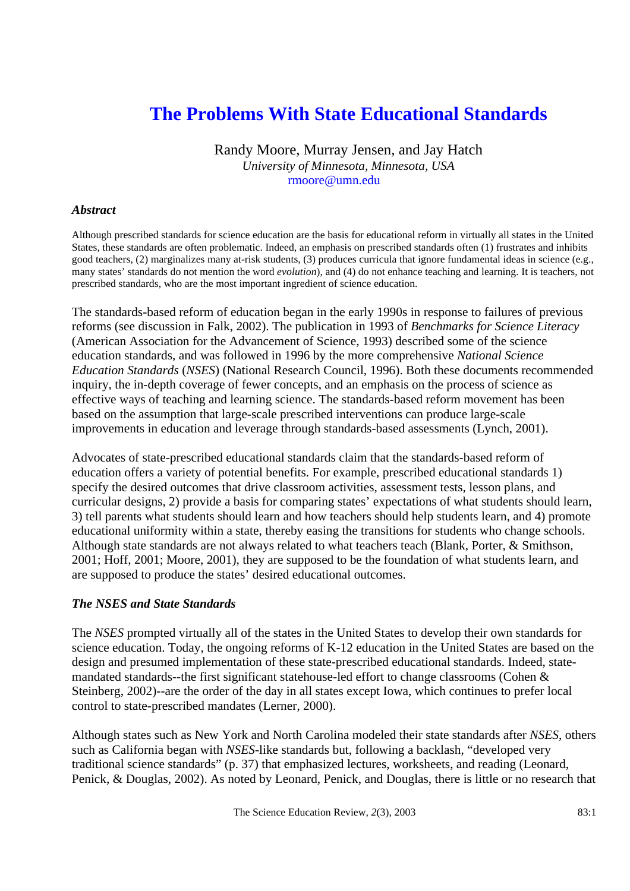# **The Problems With State Educational Standards**

Randy Moore, Murray Jensen, and Jay Hatch *University of Minnesota, Minnesota, USA* rmoore@umn.edu

#### *Abstract*

Although prescribed standards for science education are the basis for educational reform in virtually all states in the United States, these standards are often problematic. Indeed, an emphasis on prescribed standards often (1) frustrates and inhibits good teachers, (2) marginalizes many at-risk students, (3) produces curricula that ignore fundamental ideas in science (e.g., many states' standards do not mention the word *evolution*), and (4) do not enhance teaching and learning. It is teachers, not prescribed standards, who are the most important ingredient of science education.

The standards-based reform of education began in the early 1990s in response to failures of previous reforms (see discussion in Falk, 2002). The publication in 1993 of *Benchmarks for Science Literacy* (American Association for the Advancement of Science, 1993) described some of the science education standards, and was followed in 1996 by the more comprehensive *National Science Education Standards* (*NSES*) (National Research Council, 1996). Both these documents recommended inquiry, the in-depth coverage of fewer concepts, and an emphasis on the process of science as effective ways of teaching and learning science. The standards-based reform movement has been based on the assumption that large-scale prescribed interventions can produce large-scale improvements in education and leverage through standards-based assessments (Lynch, 2001).

Advocates of state-prescribed educational standards claim that the standards-based reform of education offers a variety of potential benefits. For example, prescribed educational standards 1) specify the desired outcomes that drive classroom activities, assessment tests, lesson plans, and curricular designs, 2) provide a basis for comparing states' expectations of what students should learn, 3) tell parents what students should learn and how teachers should help students learn, and 4) promote educational uniformity within a state, thereby easing the transitions for students who change schools. Although state standards are not always related to what teachers teach (Blank, Porter, & Smithson, 2001; Hoff, 2001; Moore, 2001), they are supposed to be the foundation of what students learn, and are supposed to produce the states' desired educational outcomes.

#### *The NSES and State Standards*

The *NSES* prompted virtually all of the states in the United States to develop their own standards for science education. Today, the ongoing reforms of K-12 education in the United States are based on the design and presumed implementation of these state-prescribed educational standards. Indeed, statemandated standards--the first significant statehouse-led effort to change classrooms (Cohen & Steinberg, 2002)--are the order of the day in all states except Iowa, which continues to prefer local control to state-prescribed mandates (Lerner, 2000).

Although states such as New York and North Carolina modeled their state standards after *NSES*, others such as California began with *NSES*-like standards but, following a backlash, "developed very traditional science standards" (p. 37) that emphasized lectures, worksheets, and reading (Leonard, Penick, & Douglas, 2002). As noted by Leonard, Penick, and Douglas, there is little or no research that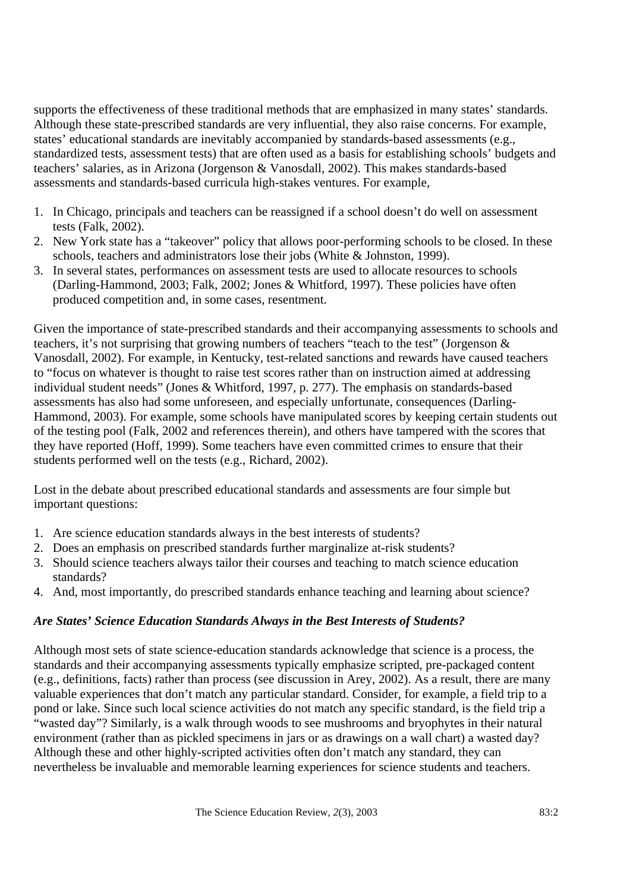supports the effectiveness of these traditional methods that are emphasized in many states' standards. Although these state-prescribed standards are very influential, they also raise concerns. For example, states' educational standards are inevitably accompanied by standards-based assessments (e.g., standardized tests, assessment tests) that are often used as a basis for establishing schools' budgets and teachers' salaries, as in Arizona (Jorgenson & Vanosdall, 2002). This makes standards-based assessments and standards-based curricula high-stakes ventures. For example,

- 1. In Chicago, principals and teachers can be reassigned if a school doesn't do well on assessment tests (Falk, 2002).
- 2. New York state has a "takeover" policy that allows poor-performing schools to be closed. In these schools, teachers and administrators lose their jobs (White & Johnston, 1999).
- 3. In several states, performances on assessment tests are used to allocate resources to schools (Darling-Hammond, 2003; Falk, 2002; Jones & Whitford, 1997). These policies have often produced competition and, in some cases, resentment.

Given the importance of state-prescribed standards and their accompanying assessments to schools and teachers, it's not surprising that growing numbers of teachers "teach to the test" (Jorgenson & Vanosdall, 2002). For example, in Kentucky, test-related sanctions and rewards have caused teachers to "focus on whatever is thought to raise test scores rather than on instruction aimed at addressing individual student needs" (Jones & Whitford, 1997, p. 277). The emphasis on standards-based assessments has also had some unforeseen, and especially unfortunate, consequences (Darling-Hammond, 2003). For example, some schools have manipulated scores by keeping certain students out of the testing pool (Falk, 2002 and references therein), and others have tampered with the scores that they have reported (Hoff, 1999). Some teachers have even committed crimes to ensure that their students performed well on the tests (e.g., Richard, 2002).

Lost in the debate about prescribed educational standards and assessments are four simple but important questions:

- 1. Are science education standards always in the best interests of students?
- 2. Does an emphasis on prescribed standards further marginalize at-risk students?
- 3. Should science teachers always tailor their courses and teaching to match science education standards?
- 4. And, most importantly, do prescribed standards enhance teaching and learning about science?

## *Are States' Science Education Standards Always in the Best Interests of Students?*

Although most sets of state science-education standards acknowledge that science is a process, the standards and their accompanying assessments typically emphasize scripted, pre-packaged content (e.g., definitions, facts) rather than process (see discussion in Arey, 2002). As a result, there are many valuable experiences that don't match any particular standard. Consider, for example, a field trip to a pond or lake. Since such local science activities do not match any specific standard, is the field trip a "wasted day"? Similarly, is a walk through woods to see mushrooms and bryophytes in their natural environment (rather than as pickled specimens in jars or as drawings on a wall chart) a wasted day? Although these and other highly-scripted activities often don't match any standard, they can nevertheless be invaluable and memorable learning experiences for science students and teachers.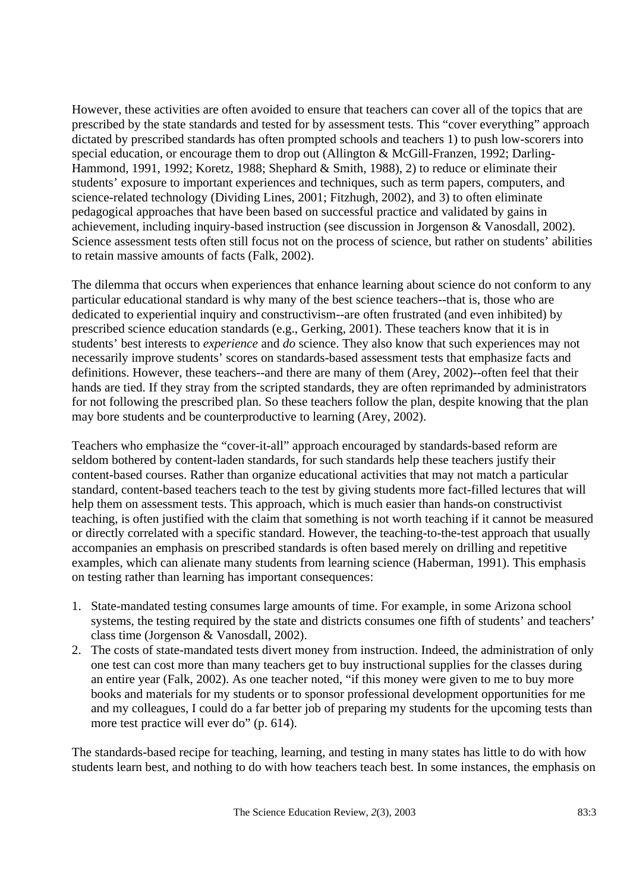However, these activities are often avoided to ensure that teachers can cover all of the topics that are prescribed by the state standards and tested for by assessment tests. This "cover everything" approach dictated by prescribed standards has often prompted schools and teachers 1) to push low-scorers into special education, or encourage them to drop out (Allington & McGill-Franzen, 1992; Darling-Hammond, 1991, 1992; Koretz, 1988; Shephard & Smith, 1988), 2) to reduce or eliminate their students' exposure to important experiences and techniques, such as term papers, computers, and science-related technology (Dividing Lines, 2001; Fitzhugh, 2002), and 3) to often eliminate pedagogical approaches that have been based on successful practice and validated by gains in achievement, including inquiry-based instruction (see discussion in Jorgenson & Vanosdall, 2002). Science assessment tests often still focus not on the process of science, but rather on students' abilities to retain massive amounts of facts (Falk, 2002).

The dilemma that occurs when experiences that enhance learning about science do not conform to any particular educational standard is why many of the best science teachers--that is, those who are dedicated to experiential inquiry and constructivism--are often frustrated (and even inhibited) by prescribed science education standards (e.g., Gerking, 2001). These teachers know that it is in students' best interests to *experience* and *do* science. They also know that such experiences may not necessarily improve students' scores on standards-based assessment tests that emphasize facts and definitions. However, these teachers--and there are many of them (Arey, 2002)--often feel that their hands are tied. If they stray from the scripted standards, they are often reprimanded by administrators for not following the prescribed plan. So these teachers follow the plan, despite knowing that the plan may bore students and be counterproductive to learning (Arey, 2002).

Teachers who emphasize the "cover-it-all" approach encouraged by standards-based reform are seldom bothered by content-laden standards, for such standards help these teachers justify their content-based courses. Rather than organize educational activities that may not match a particular standard, content-based teachers teach to the test by giving students more fact-filled lectures that will help them on assessment tests. This approach, which is much easier than hands-on constructivist teaching, is often justified with the claim that something is not worth teaching if it cannot be measured or directly correlated with a specific standard. However, the teaching-to-the-test approach that usually accompanies an emphasis on prescribed standards is often based merely on drilling and repetitive examples, which can alienate many students from learning science (Haberman, 1991). This emphasis on testing rather than learning has important consequences:

- 1. State-mandated testing consumes large amounts of time. For example, in some Arizona school systems, the testing required by the state and districts consumes one fifth of students' and teachers' class time (Jorgenson & Vanosdall, 2002).
- 2. The costs of state-mandated tests divert money from instruction. Indeed, the administration of only one test can cost more than many teachers get to buy instructional supplies for the classes during an entire year (Falk, 2002). As one teacher noted, "if this money were given to me to buy more books and materials for my students or to sponsor professional development opportunities for me and my colleagues, I could do a far better job of preparing my students for the upcoming tests than more test practice will ever do" (p. 614).

The standards-based recipe for teaching, learning, and testing in many states has little to do with how students learn best, and nothing to do with how teachers teach best. In some instances, the emphasis on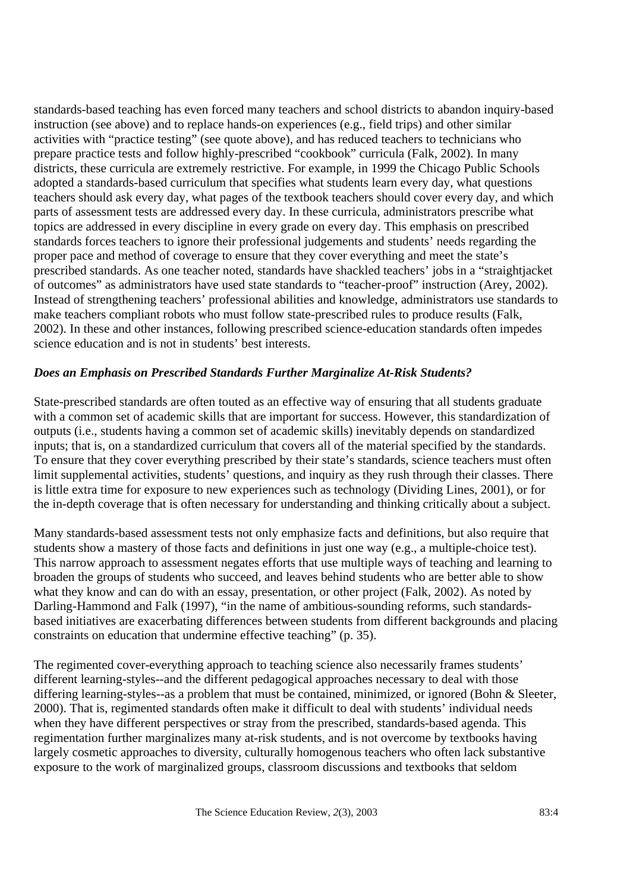standards-based teaching has even forced many teachers and school districts to abandon inquiry-based instruction (see above) and to replace hands-on experiences (e.g., field trips) and other similar activities with "practice testing" (see quote above), and has reduced teachers to technicians who prepare practice tests and follow highly-prescribed "cookbook" curricula (Falk, 2002). In many districts, these curricula are extremely restrictive. For example, in 1999 the Chicago Public Schools adopted a standards-based curriculum that specifies what students learn every day, what questions teachers should ask every day, what pages of the textbook teachers should cover every day, and which parts of assessment tests are addressed every day. In these curricula, administrators prescribe what topics are addressed in every discipline in every grade on every day. This emphasis on prescribed standards forces teachers to ignore their professional judgements and students' needs regarding the proper pace and method of coverage to ensure that they cover everything and meet the state's prescribed standards. As one teacher noted, standards have shackled teachers' jobs in a "straightjacket of outcomes" as administrators have used state standards to "teacher-proof" instruction (Arey, 2002). Instead of strengthening teachers' professional abilities and knowledge, administrators use standards to make teachers compliant robots who must follow state-prescribed rules to produce results (Falk, 2002). In these and other instances, following prescribed science-education standards often impedes science education and is not in students' best interests.

## *Does an Emphasis on Prescribed Standards Further Marginalize At-Risk Students?*

State-prescribed standards are often touted as an effective way of ensuring that all students graduate with a common set of academic skills that are important for success. However, this standardization of outputs (i.e., students having a common set of academic skills) inevitably depends on standardized inputs; that is, on a standardized curriculum that covers all of the material specified by the standards. To ensure that they cover everything prescribed by their state's standards, science teachers must often limit supplemental activities, students' questions, and inquiry as they rush through their classes. There is little extra time for exposure to new experiences such as technology (Dividing Lines, 2001), or for the in-depth coverage that is often necessary for understanding and thinking critically about a subject.

Many standards-based assessment tests not only emphasize facts and definitions, but also require that students show a mastery of those facts and definitions in just one way (e.g., a multiple-choice test). This narrow approach to assessment negates efforts that use multiple ways of teaching and learning to broaden the groups of students who succeed, and leaves behind students who are better able to show what they know and can do with an essay, presentation, or other project (Falk, 2002). As noted by Darling-Hammond and Falk (1997), "in the name of ambitious-sounding reforms, such standardsbased initiatives are exacerbating differences between students from different backgrounds and placing constraints on education that undermine effective teaching" (p. 35).

The regimented cover-everything approach to teaching science also necessarily frames students' different learning-styles--and the different pedagogical approaches necessary to deal with those differing learning-styles--as a problem that must be contained, minimized, or ignored (Bohn & Sleeter, 2000). That is, regimented standards often make it difficult to deal with students' individual needs when they have different perspectives or stray from the prescribed, standards-based agenda. This regimentation further marginalizes many at-risk students, and is not overcome by textbooks having largely cosmetic approaches to diversity, culturally homogenous teachers who often lack substantive exposure to the work of marginalized groups, classroom discussions and textbooks that seldom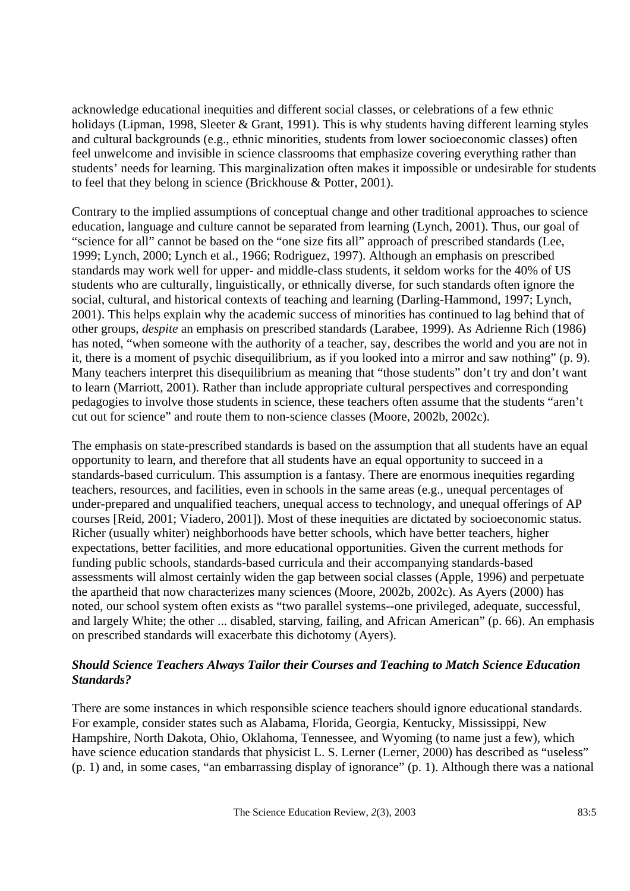acknowledge educational inequities and different social classes, or celebrations of a few ethnic holidays (Lipman, 1998, Sleeter & Grant, 1991). This is why students having different learning styles and cultural backgrounds (e.g., ethnic minorities, students from lower socioeconomic classes) often feel unwelcome and invisible in science classrooms that emphasize covering everything rather than students' needs for learning. This marginalization often makes it impossible or undesirable for students to feel that they belong in science (Brickhouse & Potter, 2001).

Contrary to the implied assumptions of conceptual change and other traditional approaches to science education, language and culture cannot be separated from learning (Lynch, 2001). Thus, our goal of "science for all" cannot be based on the "one size fits all" approach of prescribed standards (Lee, 1999; Lynch, 2000; Lynch et al., 1966; Rodriguez, 1997). Although an emphasis on prescribed standards may work well for upper- and middle-class students, it seldom works for the 40% of US students who are culturally, linguistically, or ethnically diverse, for such standards often ignore the social, cultural, and historical contexts of teaching and learning (Darling-Hammond, 1997; Lynch, 2001). This helps explain why the academic success of minorities has continued to lag behind that of other groups, *despite* an emphasis on prescribed standards (Larabee, 1999). As Adrienne Rich (1986) has noted, "when someone with the authority of a teacher, say, describes the world and you are not in it, there is a moment of psychic disequilibrium, as if you looked into a mirror and saw nothing" (p. 9). Many teachers interpret this disequilibrium as meaning that "those students" don't try and don't want to learn (Marriott, 2001). Rather than include appropriate cultural perspectives and corresponding pedagogies to involve those students in science, these teachers often assume that the students "aren't cut out for science" and route them to non-science classes (Moore, 2002b, 2002c).

The emphasis on state-prescribed standards is based on the assumption that all students have an equal opportunity to learn, and therefore that all students have an equal opportunity to succeed in a standards-based curriculum. This assumption is a fantasy. There are enormous inequities regarding teachers, resources, and facilities, even in schools in the same areas (e.g., unequal percentages of under-prepared and unqualified teachers, unequal access to technology, and unequal offerings of AP courses [Reid, 2001; Viadero, 2001]). Most of these inequities are dictated by socioeconomic status. Richer (usually whiter) neighborhoods have better schools, which have better teachers, higher expectations, better facilities, and more educational opportunities. Given the current methods for funding public schools, standards-based curricula and their accompanying standards-based assessments will almost certainly widen the gap between social classes (Apple, 1996) and perpetuate the apartheid that now characterizes many sciences (Moore, 2002b, 2002c). As Ayers (2000) has noted, our school system often exists as "two parallel systems--one privileged, adequate, successful, and largely White; the other ... disabled, starving, failing, and African American" (p. 66). An emphasis on prescribed standards will exacerbate this dichotomy (Ayers).

## *Should Science Teachers Always Tailor their Courses and Teaching to Match Science Education Standards?*

There are some instances in which responsible science teachers should ignore educational standards. For example, consider states such as Alabama, Florida, Georgia, Kentucky, Mississippi, New Hampshire, North Dakota, Ohio, Oklahoma, Tennessee, and Wyoming (to name just a few), which have science education standards that physicist L. S. Lerner (Lerner, 2000) has described as "useless" (p. 1) and, in some cases, "an embarrassing display of ignorance" (p. 1). Although there was a national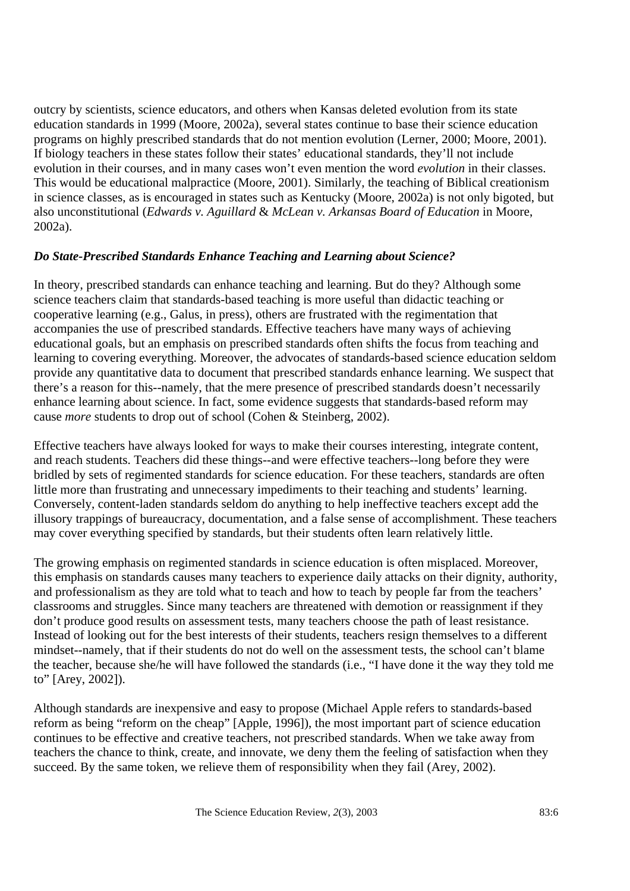outcry by scientists, science educators, and others when Kansas deleted evolution from its state education standards in 1999 (Moore, 2002a), several states continue to base their science education programs on highly prescribed standards that do not mention evolution (Lerner, 2000; Moore, 2001). If biology teachers in these states follow their states' educational standards, they'll not include evolution in their courses, and in many cases won't even mention the word *evolution* in their classes. This would be educational malpractice (Moore, 2001). Similarly, the teaching of Biblical creationism in science classes, as is encouraged in states such as Kentucky (Moore, 2002a) is not only bigoted, but also unconstitutional (*Edwards v. Aguillard* & *McLean v. Arkansas Board of Education* in Moore, 2002a).

### *Do State-Prescribed Standards Enhance Teaching and Learning about Science?*

In theory, prescribed standards can enhance teaching and learning. But do they? Although some science teachers claim that standards-based teaching is more useful than didactic teaching or cooperative learning (e.g., Galus, in press), others are frustrated with the regimentation that accompanies the use of prescribed standards. Effective teachers have many ways of achieving educational goals, but an emphasis on prescribed standards often shifts the focus from teaching and learning to covering everything. Moreover, the advocates of standards-based science education seldom provide any quantitative data to document that prescribed standards enhance learning. We suspect that there's a reason for this--namely, that the mere presence of prescribed standards doesn't necessarily enhance learning about science. In fact, some evidence suggests that standards-based reform may cause *more* students to drop out of school (Cohen & Steinberg, 2002).

Effective teachers have always looked for ways to make their courses interesting, integrate content, and reach students. Teachers did these things--and were effective teachers--long before they were bridled by sets of regimented standards for science education. For these teachers, standards are often little more than frustrating and unnecessary impediments to their teaching and students' learning. Conversely, content-laden standards seldom do anything to help ineffective teachers except add the illusory trappings of bureaucracy, documentation, and a false sense of accomplishment. These teachers may cover everything specified by standards, but their students often learn relatively little.

The growing emphasis on regimented standards in science education is often misplaced. Moreover, this emphasis on standards causes many teachers to experience daily attacks on their dignity, authority, and professionalism as they are told what to teach and how to teach by people far from the teachers' classrooms and struggles. Since many teachers are threatened with demotion or reassignment if they don't produce good results on assessment tests, many teachers choose the path of least resistance. Instead of looking out for the best interests of their students, teachers resign themselves to a different mindset--namely, that if their students do not do well on the assessment tests, the school can't blame the teacher, because she/he will have followed the standards (i.e., "I have done it the way they told me to" [Arey, 2002]).

Although standards are inexpensive and easy to propose (Michael Apple refers to standards-based reform as being "reform on the cheap" [Apple, 1996]), the most important part of science education continues to be effective and creative teachers, not prescribed standards. When we take away from teachers the chance to think, create, and innovate, we deny them the feeling of satisfaction when they succeed. By the same token, we relieve them of responsibility when they fail (Arey, 2002).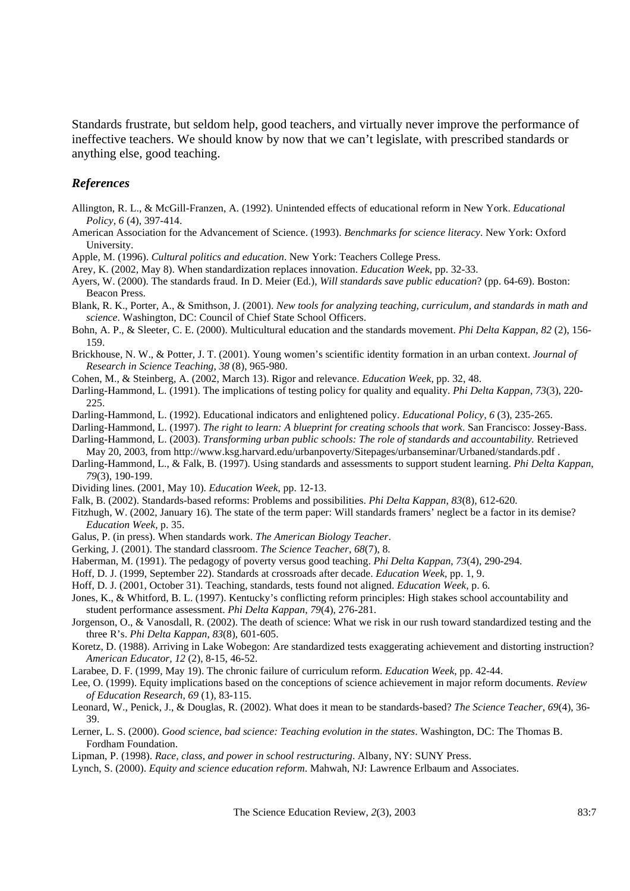Standards frustrate, but seldom help, good teachers, and virtually never improve the performance of ineffective teachers. We should know by now that we can't legislate, with prescribed standards or anything else, good teaching.

#### *References*

- Allington, R. L., & McGill-Franzen, A. (1992). Unintended effects of educational reform in New York. *Educational Policy, 6* (4), 397-414.
- American Association for the Advancement of Science. (1993). *Benchmarks for science literacy*. New York: Oxford University.
- Apple, M. (1996). *Cultural politics and education*. New York: Teachers College Press.
- Arey, K. (2002, May 8). When standardization replaces innovation. *Education Week*, pp. 32-33.
- Ayers, W. (2000). The standards fraud. In D. Meier (Ed.), *Will standards save public education*? (pp. 64-69). Boston: Beacon Press.
- Blank, R. K., Porter, A., & Smithson, J. (2001). *New tools for analyzing teaching, curriculum, and standards in math and science*. Washington, DC: Council of Chief State School Officers.
- Bohn, A. P., & Sleeter, C. E. (2000). Multicultural education and the standards movement. *Phi Delta Kappan*, *82* (2), 156- 159.
- Brickhouse, N. W., & Potter, J. T. (2001). Young women's scientific identity formation in an urban context. *Journal of Research in Science Teaching*, *38* (8), 965-980.
- Cohen, M., & Steinberg, A. (2002, March 13). Rigor and relevance. *Education Week*, pp. 32, 48.
- Darling-Hammond, L. (1991). The implications of testing policy for quality and equality. *Phi Delta Kappan*, *73*(3), 220- 225.
- Darling-Hammond, L. (1992). Educational indicators and enlightened policy. *Educational Policy, 6* (3), 235-265.
- Darling-Hammond, L. (1997). *The right to learn: A blueprint for creating schools that work*. San Francisco: Jossey-Bass.
- Darling-Hammond, L. (2003). *Transforming urban public schools: The role of standards and accountability.* Retrieved
- May 20, 2003, from http://www.ksg.harvard.edu/urbanpoverty/Sitepages/urbanseminar/Urbaned/standards.pdf .
- Darling-Hammond, L., & Falk, B. (1997). Using standards and assessments to support student learning. *Phi Delta Kappan*, *79*(3), 190-199.
- Dividing lines. (2001, May 10). *Education Week*, pp. 12-13.
- Falk, B. (2002). Standards-based reforms: Problems and possibilities. *Phi Delta Kappan*, *83*(8), 612-620.
- Fitzhugh, W. (2002, January 16). The state of the term paper: Will standards framers' neglect be a factor in its demise? *Education Week,* p. 35.
- Galus, P. (in press). When standards work. *The American Biology Teacher*.
- Gerking, J. (2001). The standard classroom. *The Science Teacher*, *68*(7), 8.
- Haberman, M. (1991). The pedagogy of poverty versus good teaching. *Phi Delta Kappan*, *73*(4), 290-294.
- Hoff, D. J. (1999, September 22). Standards at crossroads after decade. *Education Week*, pp. 1, 9.
- Hoff, D. J. (2001, October 31). Teaching, standards, tests found not aligned. *Education Week*, p. 6.
- Jones, K., & Whitford, B. L. (1997). Kentucky's conflicting reform principles: High stakes school accountability and student performance assessment. *Phi Delta Kappan*, *79*(4), 276-281.
- Jorgenson, O., & Vanosdall, R. (2002). The death of science: What we risk in our rush toward standardized testing and the three R's. *Phi Delta Kappan*, *83*(8), 601-605.
- Koretz, D. (1988). Arriving in Lake Wobegon: Are standardized tests exaggerating achievement and distorting instruction? *American Educator, 12* (2), 8-15, 46-52.
- Larabee, D. F. (1999, May 19). The chronic failure of curriculum reform. *Education Week*, pp. 42-44.
- Lee, O. (1999). Equity implications based on the conceptions of science achievement in major reform documents. *Review of Education Research*, *69* (1), 83-115.
- Leonard, W., Penick, J., & Douglas, R. (2002). What does it mean to be standards-based? *The Science Teacher*, *69*(4), 36- 39.
- Lerner, L. S. (2000). *Good science, bad science: Teaching evolution in the states*. Washington, DC: The Thomas B. Fordham Foundation.
- Lipman, P. (1998). *Race, class, and power in school restructuring*. Albany, NY: SUNY Press.
- Lynch, S. (2000). *Equity and science education reform*. Mahwah, NJ: Lawrence Erlbaum and Associates.